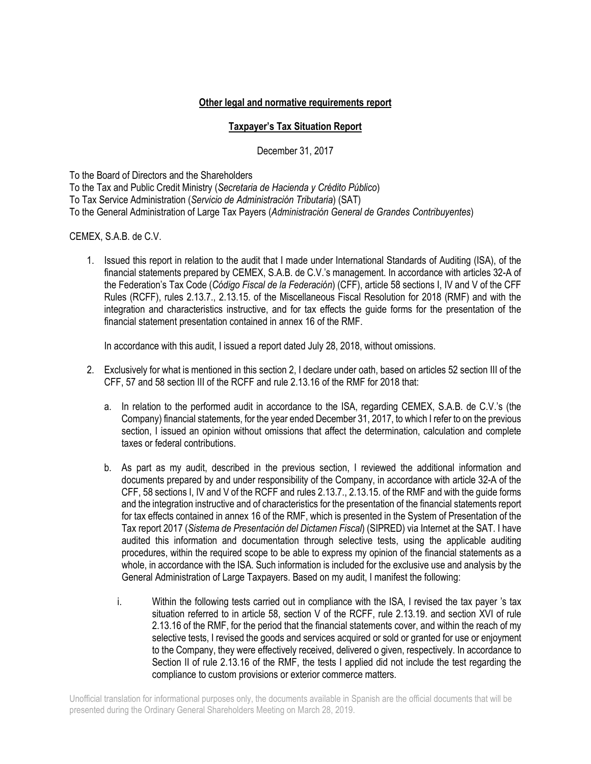## **Other legal and normative requirements report**

## **Taxpayer's Tax Situation Report**

December 31, 2017

To the Board of Directors and the Shareholders To the Tax and Public Credit Ministry (*Secretaria de Hacienda y Crédito Público*) To Tax Service Administration (*Servicio de Administración Tributaria*) (SAT) To the General Administration of Large Tax Payers (*Administración General de Grandes Contribuyentes*)

## CEMEX, S.A.B. de C.V.

1. Issued this report in relation to the audit that I made under International Standards of Auditing (ISA), of the financial statements prepared by CEMEX, S.A.B. de C.V.'s management. In accordance with articles 32-A of the Federation's Tax Code (*Código Fiscal de la Federación*) (CFF), article 58 sections I, IV and V of the CFF Rules (RCFF), rules 2.13.7., 2.13.15. of the Miscellaneous Fiscal Resolution for 2018 (RMF) and with the integration and characteristics instructive, and for tax effects the guide forms for the presentation of the financial statement presentation contained in annex 16 of the RMF.

In accordance with this audit, I issued a report dated July 28, 2018, without omissions.

- 2. Exclusively for what is mentioned in this section 2, I declare under oath, based on articles 52 section III of the CFF, 57 and 58 section III of the RCFF and rule 2.13.16 of the RMF for 2018 that:
	- a. In relation to the performed audit in accordance to the ISA, regarding CEMEX, S.A.B. de C.V.'s (the Company) financial statements, for the year ended December 31, 2017, to which I refer to on the previous section, I issued an opinion without omissions that affect the determination, calculation and complete taxes or federal contributions.
	- b. As part as my audit, described in the previous section, I reviewed the additional information and documents prepared by and under responsibility of the Company, in accordance with article 32-A of the CFF, 58 sections I, IV and V of the RCFF and rules 2.13.7., 2.13.15. of the RMF and with the guide forms and the integration instructive and of characteristics for the presentation of the financial statements report for tax effects contained in annex 16 of the RMF, which is presented in the System of Presentation of the Tax report 2017 (*Sistema de Presentación del Dictamen Fiscal*) (SIPRED) via Internet at the SAT. I have audited this information and documentation through selective tests, using the applicable auditing procedures, within the required scope to be able to express my opinion of the financial statements as a whole, in accordance with the ISA. Such information is included for the exclusive use and analysis by the General Administration of Large Taxpayers. Based on my audit, I manifest the following:
		- i. Within the following tests carried out in compliance with the ISA, I revised the tax payer 's tax situation referred to in article 58, section V of the RCFF, rule 2.13.19. and section XVI of rule 2.13.16 of the RMF, for the period that the financial statements cover, and within the reach of my selective tests, I revised the goods and services acquired or sold or granted for use or enjoyment to the Company, they were effectively received, delivered o given, respectively. In accordance to Section II of rule 2.13.16 of the RMF, the tests I applied did not include the test regarding the compliance to custom provisions or exterior commerce matters.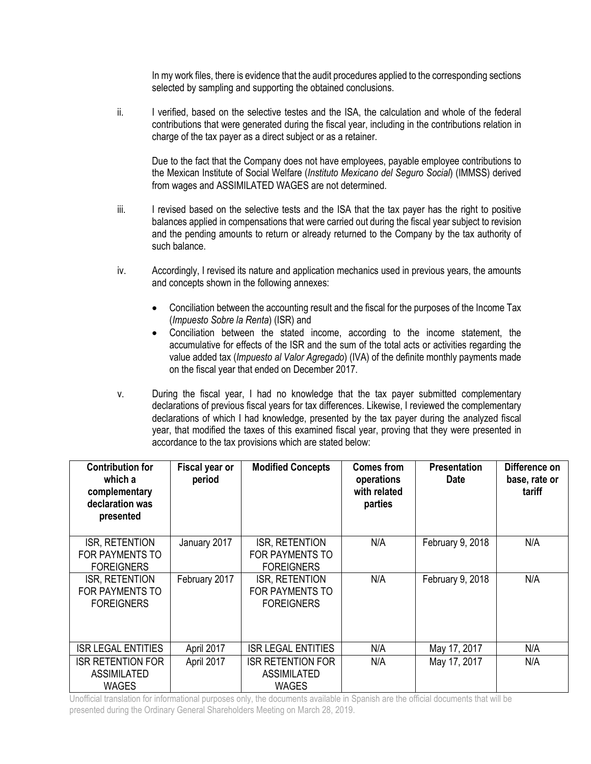In my work files, there is evidence that the audit procedures applied to the corresponding sections selected by sampling and supporting the obtained conclusions.

ii. I verified, based on the selective testes and the ISA, the calculation and whole of the federal contributions that were generated during the fiscal year, including in the contributions relation in charge of the tax payer as a direct subject or as a retainer.

Due to the fact that the Company does not have employees, payable employee contributions to the Mexican Institute of Social Welfare (*Instituto Mexicano del Seguro Social*) (IMMSS) derived from wages and ASSIMILATED WAGES are not determined.

- iii. I revised based on the selective tests and the ISA that the tax payer has the right to positive balances applied in compensations that were carried out during the fiscal year subject to revision and the pending amounts to return or already returned to the Company by the tax authority of such balance.
- iv. Accordingly, I revised its nature and application mechanics used in previous years, the amounts and concepts shown in the following annexes:
	- Conciliation between the accounting result and the fiscal for the purposes of the Income Tax (*Impuesto Sobre la Renta*) (ISR) and
	- Conciliation between the stated income, according to the income statement, the accumulative for effects of the ISR and the sum of the total acts or activities regarding the value added tax (*Impuesto al Valor Agregado*) (IVA) of the definite monthly payments made on the fiscal year that ended on December 2017.
- v. During the fiscal year, I had no knowledge that the tax payer submitted complementary declarations of previous fiscal years for tax differences. Likewise, I reviewed the complementary declarations of which I had knowledge, presented by the tax payer during the analyzed fiscal year, that modified the taxes of this examined fiscal year, proving that they were presented in accordance to the tax provisions which are stated below:

| <b>Contribution for</b><br>which a<br>complementary<br>declaration was<br>presented | Fiscal year or<br>period | <b>Modified Concepts</b>                                       | <b>Comes from</b><br>operations<br>with related<br>parties | <b>Presentation</b><br><b>Date</b> | Difference on<br>base, rate or<br>tariff |
|-------------------------------------------------------------------------------------|--------------------------|----------------------------------------------------------------|------------------------------------------------------------|------------------------------------|------------------------------------------|
| ISR, RETENTION<br>FOR PAYMENTS TO<br><b>FOREIGNERS</b>                              | January 2017             | <b>ISR, RETENTION</b><br>FOR PAYMENTS TO<br><b>FOREIGNERS</b>  | N/A                                                        | February 9, 2018                   | N/A                                      |
| ISR, RETENTION<br><b>FOR PAYMENTS TO</b><br><b>FOREIGNERS</b>                       | February 2017            | ISR, RETENTION<br><b>FOR PAYMENTS TO</b><br><b>FOREIGNERS</b>  | N/A                                                        | February 9, 2018                   | N/A                                      |
| <b>ISR LEGAL ENTITIES</b>                                                           | April 2017               | <b>ISR LEGAL ENTITIES</b>                                      | N/A                                                        | May 17, 2017                       | N/A                                      |
| <b>ISR RETENTION FOR</b><br><b>ASSIMILATED</b><br>WAGES                             | April 2017               | <b>ISR RETENTION FOR</b><br><b>ASSIMILATED</b><br><b>WAGES</b> | N/A                                                        | May 17, 2017                       | N/A                                      |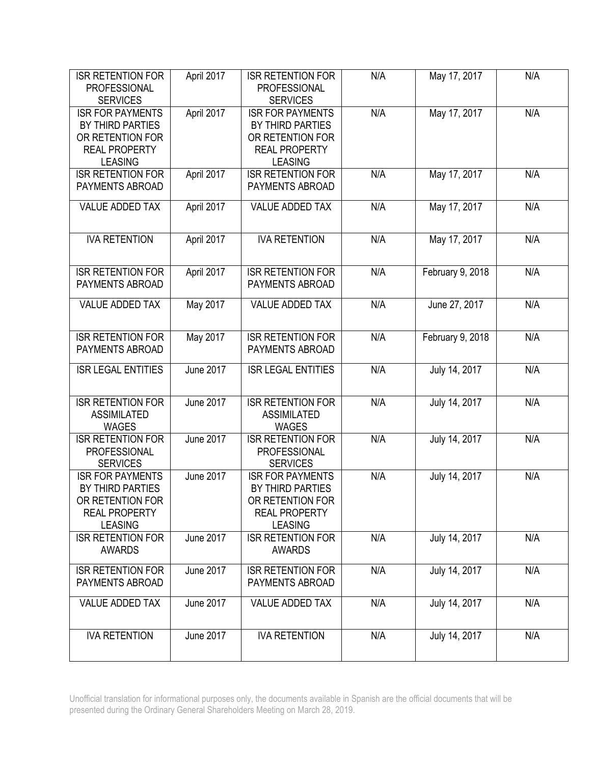| <b>ISR RETENTION FOR</b><br><b>PROFESSIONAL</b> | April 2017       | <b>ISR RETENTION FOR</b><br><b>PROFESSIONAL</b> | N/A | May 17, 2017     | N/A |
|-------------------------------------------------|------------------|-------------------------------------------------|-----|------------------|-----|
| <b>SERVICES</b>                                 |                  | <b>SERVICES</b>                                 |     |                  |     |
| <b>ISR FOR PAYMENTS</b>                         | April 2017       | <b>ISR FOR PAYMENTS</b>                         | N/A | May 17, 2017     | N/A |
| BY THIRD PARTIES                                |                  | BY THIRD PARTIES                                |     |                  |     |
| OR RETENTION FOR                                |                  | OR RETENTION FOR                                |     |                  |     |
| <b>REAL PROPERTY</b>                            |                  | <b>REAL PROPERTY</b>                            |     |                  |     |
| <b>LEASING</b>                                  |                  | <b>LEASING</b>                                  |     |                  |     |
| <b>ISR RETENTION FOR</b>                        | April 2017       | <b>ISR RETENTION FOR</b>                        | N/A | May 17, 2017     | N/A |
| PAYMENTS ABROAD                                 |                  | <b>PAYMENTS ABROAD</b>                          |     |                  |     |
|                                                 |                  |                                                 |     |                  |     |
| <b>VALUE ADDED TAX</b>                          | April 2017       | <b>VALUE ADDED TAX</b>                          | N/A | May 17, 2017     | N/A |
|                                                 |                  |                                                 |     |                  |     |
| <b>IVA RETENTION</b>                            | April 2017       | <b>IVA RETENTION</b>                            | N/A | May 17, 2017     | N/A |
|                                                 |                  |                                                 |     |                  |     |
|                                                 |                  |                                                 |     |                  |     |
| <b>ISR RETENTION FOR</b>                        | April 2017       | <b>ISR RETENTION FOR</b>                        | N/A | February 9, 2018 | N/A |
| PAYMENTS ABROAD                                 |                  | PAYMENTS ABROAD                                 |     |                  |     |
|                                                 |                  |                                                 |     |                  |     |
| <b>VALUE ADDED TAX</b>                          | May 2017         | <b>VALUE ADDED TAX</b>                          | N/A | June 27, 2017    | N/A |
|                                                 |                  |                                                 |     |                  |     |
| <b>ISR RETENTION FOR</b>                        | May 2017         | <b>ISR RETENTION FOR</b>                        | N/A | February 9, 2018 | N/A |
| PAYMENTS ABROAD                                 |                  | PAYMENTS ABROAD                                 |     |                  |     |
|                                                 |                  |                                                 |     |                  |     |
| <b>ISR LEGAL ENTITIES</b>                       | <b>June 2017</b> | <b>ISR LEGAL ENTITIES</b>                       | N/A | July 14, 2017    | N/A |
|                                                 |                  |                                                 |     |                  |     |
|                                                 |                  |                                                 |     |                  |     |
| <b>ISR RETENTION FOR</b>                        | <b>June 2017</b> | <b>ISR RETENTION FOR</b>                        | N/A | July 14, 2017    | N/A |
| <b>ASSIMILATED</b>                              |                  | <b>ASSIMILATED</b>                              |     |                  |     |
| <b>WAGES</b>                                    |                  | <b>WAGES</b>                                    |     |                  |     |
| <b>ISR RETENTION FOR</b>                        | <b>June 2017</b> | <b>ISR RETENTION FOR</b>                        | N/A | July 14, 2017    | N/A |
| PROFESSIONAL                                    |                  | PROFESSIONAL                                    |     |                  |     |
| <b>SERVICES</b>                                 |                  | <b>SERVICES</b>                                 |     |                  |     |
| <b>ISR FOR PAYMENTS</b>                         | <b>June 2017</b> | <b>ISR FOR PAYMENTS</b>                         | N/A | July 14, 2017    | N/A |
| BY THIRD PARTIES                                |                  | BY THIRD PARTIES                                |     |                  |     |
| OR RETENTION FOR                                |                  | OR RETENTION FOR                                |     |                  |     |
| <b>REAL PROPERTY</b>                            |                  | <b>REAL PROPERTY</b>                            |     |                  |     |
| <b>LEASING</b>                                  |                  | <b>LEASING</b>                                  |     |                  |     |
| <b>ISR RETENTION FOR</b>                        | <b>June 2017</b> | <b>ISR RETENTION FOR</b>                        | N/A | July 14, 2017    | N/A |
| <b>AWARDS</b>                                   |                  | <b>AWARDS</b>                                   |     |                  |     |
| <b>ISR RETENTION FOR</b>                        | <b>June 2017</b> | <b>ISR RETENTION FOR</b>                        | N/A | July 14, 2017    | N/A |
| PAYMENTS ABROAD                                 |                  | PAYMENTS ABROAD                                 |     |                  |     |
|                                                 |                  |                                                 |     |                  |     |
| <b>VALUE ADDED TAX</b>                          | <b>June 2017</b> | VALUE ADDED TAX                                 | N/A | July 14, 2017    | N/A |
|                                                 |                  |                                                 |     |                  |     |
|                                                 |                  |                                                 |     |                  |     |
| <b>IVA RETENTION</b>                            | <b>June 2017</b> | <b>IVA RETENTION</b>                            | N/A | July 14, 2017    | N/A |
|                                                 |                  |                                                 |     |                  |     |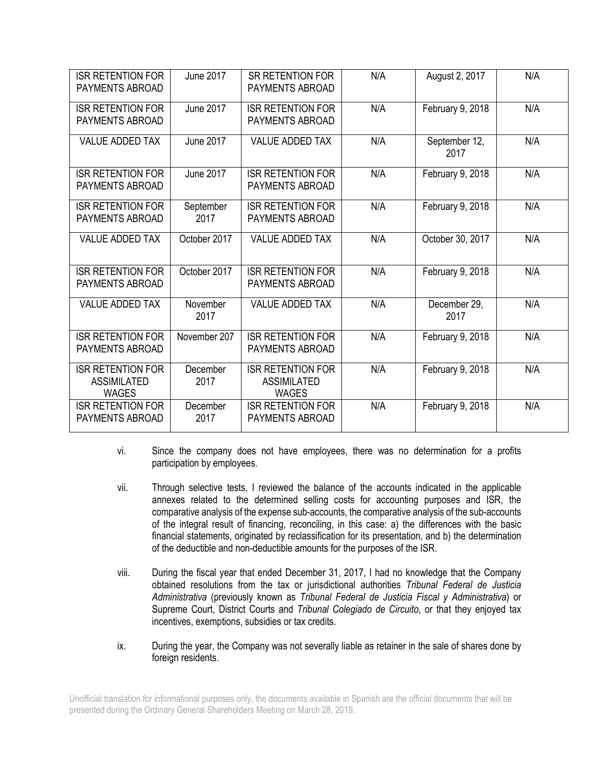| <b>ISR RETENTION FOR</b><br><b>PAYMENTS ABROAD</b>             | <b>June 2017</b>  | <b>SR RETENTION FOR</b><br>PAYMENTS ABROAD                     | N/A | August 2, 2017        | N/A |
|----------------------------------------------------------------|-------------------|----------------------------------------------------------------|-----|-----------------------|-----|
| <b>ISR RETENTION FOR</b><br><b>PAYMENTS ABROAD</b>             | <b>June 2017</b>  | <b>ISR RETENTION FOR</b><br>PAYMENTS ABROAD                    | N/A | February 9, 2018      | N/A |
| <b>VALUE ADDED TAX</b>                                         | <b>June 2017</b>  | <b>VALUE ADDED TAX</b>                                         | N/A | September 12,<br>2017 | N/A |
| <b>ISR RETENTION FOR</b><br><b>PAYMENTS ABROAD</b>             | <b>June 2017</b>  | <b>ISR RETENTION FOR</b><br>PAYMENTS ABROAD                    | N/A | February 9, 2018      | N/A |
| <b>ISR RETENTION FOR</b><br>PAYMENTS ABROAD                    | September<br>2017 | <b>ISR RETENTION FOR</b><br>PAYMENTS ABROAD                    | N/A | February 9, 2018      | N/A |
| <b>VALUE ADDED TAX</b>                                         | October 2017      | <b>VALUE ADDED TAX</b>                                         | N/A | October 30, 2017      | N/A |
| <b>ISR RETENTION FOR</b><br><b>PAYMENTS ABROAD</b>             | October 2017      | <b>ISR RETENTION FOR</b><br>PAYMENTS ABROAD                    | N/A | February 9, 2018      | N/A |
| <b>VALUE ADDED TAX</b>                                         | November<br>2017  | <b>VALUE ADDED TAX</b>                                         | N/A | December 29,<br>2017  | N/A |
| <b>ISR RETENTION FOR</b><br>PAYMENTS ABROAD                    | November 207      | <b>ISR RETENTION FOR</b><br>PAYMENTS ABROAD                    | N/A | February 9, 2018      | N/A |
| <b>ISR RETENTION FOR</b><br><b>ASSIMILATED</b><br><b>WAGES</b> | December<br>2017  | <b>ISR RETENTION FOR</b><br><b>ASSIMILATED</b><br><b>WAGES</b> | N/A | February 9, 2018      | N/A |
| <b>ISR RETENTION FOR</b><br><b>PAYMENTS ABROAD</b>             | December<br>2017  | <b>ISR RETENTION FOR</b><br><b>PAYMENTS ABROAD</b>             | N/A | February 9, 2018      | N/A |

- vi. Since the company does not have employees, there was no determination for a profits participation by employees.
- vii. Through selective tests, I reviewed the balance of the accounts indicated in the applicable annexes related to the determined selling costs for accounting purposes and ISR, the comparative analysis of the expense sub-accounts, the comparative analysis of the sub-accounts of the integral result of financing, reconciling, in this case: a) the differences with the basic financial statements, originated by reclassification for its presentation, and b) the determination of the deductible and non-deductible amounts for the purposes of the ISR.
- viii. During the fiscal year that ended December 31, 2017, I had no knowledge that the Company obtained resolutions from the tax or jurisdictional authorities *Tribunal Federal de Justicia Administrativa* (previously known as *Tribunal Federal de Justicia Fiscal y Administrativa*) or Supreme Court, District Courts and *Tribunal Colegiado de Circuito*, or that they enjoyed tax incentives, exemptions, subsidies or tax credits.
- ix. During the year, the Company was not severally liable as retainer in the sale of shares done by foreign residents.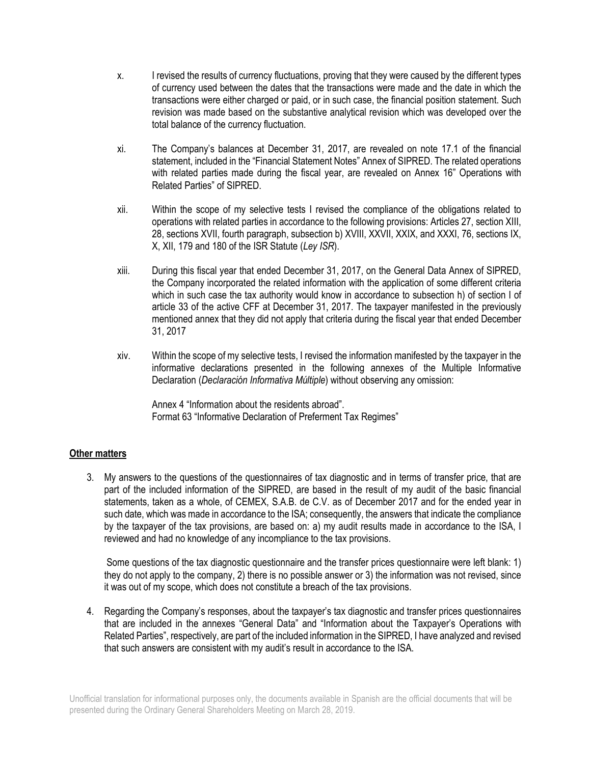- x. I revised the results of currency fluctuations, proving that they were caused by the different types of currency used between the dates that the transactions were made and the date in which the transactions were either charged or paid, or in such case, the financial position statement. Such revision was made based on the substantive analytical revision which was developed over the total balance of the currency fluctuation.
- xi. The Company's balances at December 31, 2017, are revealed on note 17.1 of the financial statement, included in the "Financial Statement Notes" Annex of SIPRED. The related operations with related parties made during the fiscal year, are revealed on Annex 16" Operations with Related Parties" of SIPRED.
- xii. Within the scope of my selective tests I revised the compliance of the obligations related to operations with related parties in accordance to the following provisions: Articles 27, section XIII, 28, sections XVII, fourth paragraph, subsection b) XVIII, XXVII, XXIX, and XXXI, 76, sections IX, X, XII, 179 and 180 of the ISR Statute (*Ley ISR*).
- xiii. During this fiscal year that ended December 31, 2017, on the General Data Annex of SIPRED, the Company incorporated the related information with the application of some different criteria which in such case the tax authority would know in accordance to subsection h) of section I of article 33 of the active CFF at December 31, 2017. The taxpayer manifested in the previously mentioned annex that they did not apply that criteria during the fiscal year that ended December 31, 2017
- xiv. Within the scope of my selective tests, I revised the information manifested by the taxpayer in the informative declarations presented in the following annexes of the Multiple Informative Declaration (*Declaración Informativa Múltiple*) without observing any omission:

Annex 4 "Information about the residents abroad". Format 63 "Informative Declaration of Preferment Tax Regimes"

## **Other matters**

3. My answers to the questions of the questionnaires of tax diagnostic and in terms of transfer price, that are part of the included information of the SIPRED, are based in the result of my audit of the basic financial statements, taken as a whole, of CEMEX, S.A.B. de C.V. as of December 2017 and for the ended year in such date, which was made in accordance to the ISA; consequently, the answers that indicate the compliance by the taxpayer of the tax provisions, are based on: a) my audit results made in accordance to the ISA, I reviewed and had no knowledge of any incompliance to the tax provisions.

Some questions of the tax diagnostic questionnaire and the transfer prices questionnaire were left blank: 1) they do not apply to the company, 2) there is no possible answer or 3) the information was not revised, since it was out of my scope, which does not constitute a breach of the tax provisions.

4. Regarding the Company's responses, about the taxpayer's tax diagnostic and transfer prices questionnaires that are included in the annexes "General Data" and "Information about the Taxpayer's Operations with Related Parties", respectively, are part of the included information in the SIPRED, I have analyzed and revised that such answers are consistent with my audit's result in accordance to the ISA.